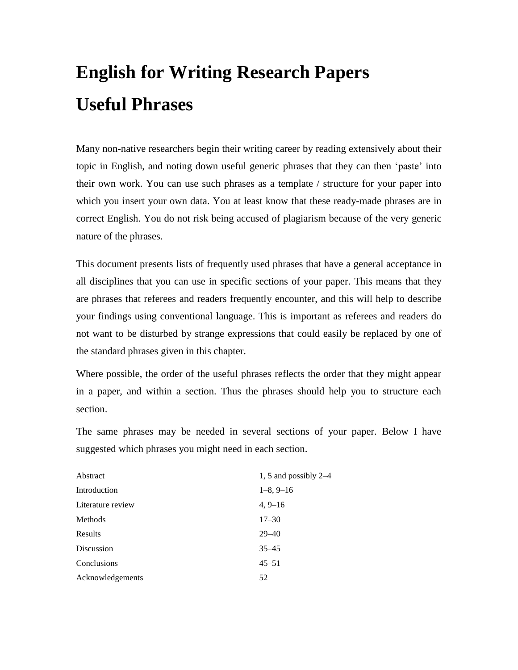# **English for Writing Research Papers Useful Phrases**

Many non-native researchers begin their writing career by reading extensively about their topic in English, and noting down useful generic phrases that they can then 'paste' into their own work. You can use such phrases as a template / structure for your paper into which you insert your own data. You at least know that these ready-made phrases are in correct English. You do not risk being accused of plagiarism because of the very generic nature of the phrases.

This document presents lists of frequently used phrases that have a general acceptance in all disciplines that you can use in specific sections of your paper. This means that they are phrases that referees and readers frequently encounter, and this will help to describe your findings using conventional language. This is important as referees and readers do not want to be disturbed by strange expressions that could easily be replaced by one of the standard phrases given in this chapter.

Where possible, the order of the useful phrases reflects the order that they might appear in a paper, and within a section. Thus the phrases should help you to structure each section.

The same phrases may be needed in several sections of your paper. Below I have suggested which phrases you might need in each section.

| Abstract          | 1, 5 and possibly $2-4$ |
|-------------------|-------------------------|
| Introduction      | $1-8, 9-16$             |
| Literature review | $4, 9-16$               |
| Methods           | $17 - 30$               |
| Results           | $29 - 40$               |
| Discussion        | $35 - 45$               |
| Conclusions       | $45 - 51$               |
| Acknowledgements  | 52                      |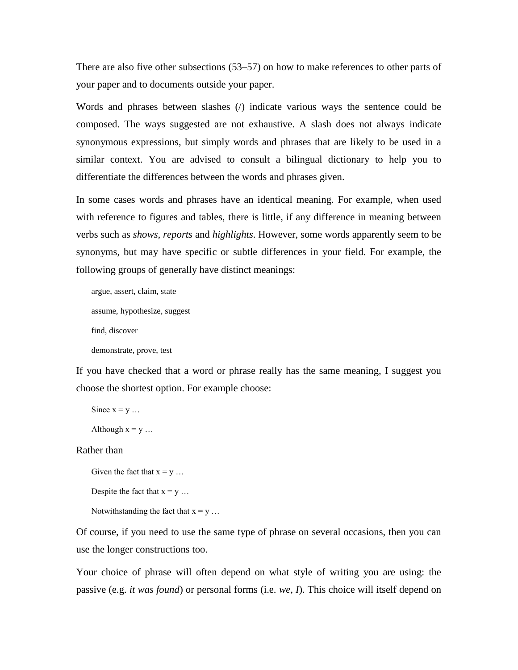There are also five other subsections (53–57) on how to make references to other parts of your paper and to documents outside your paper.

Words and phrases between slashes (/) indicate various ways the sentence could be composed. The ways suggested are not exhaustive. A slash does not always indicate synonymous expressions, but simply words and phrases that are likely to be used in a similar context. You are advised to consult a bilingual dictionary to help you to differentiate the differences between the words and phrases given.

In some cases words and phrases have an identical meaning. For example, when used with reference to figures and tables, there is little, if any difference in meaning between verbs such as *shows, reports* and *highlights*. However, some words apparently seem to be synonyms, but may have specific or subtle differences in your field. For example, the following groups of generally have distinct meanings:

argue, assert, claim, state assume, hypothesize, suggest find, discover demonstrate, prove, test

If you have checked that a word or phrase really has the same meaning, I suggest you choose the shortest option. For example choose:

Since  $x = y$  ...

Although  $x = y$  ...

Rather than

Given the fact that  $x = y$ ...

Despite the fact that  $x = y$ ...

Notwithstanding the fact that  $x = y$  ...

Of course, if you need to use the same type of phrase on several occasions, then you can use the longer constructions too.

Your choice of phrase will often depend on what style of writing you are using: the passive (e.g. *it was found*) or personal forms (i.e. *we, I*). This choice will itself depend on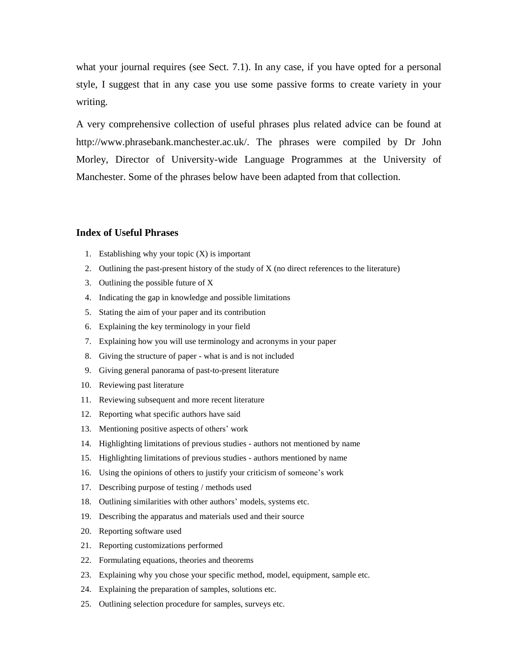what your journal requires (see Sect. 7.1). In any case, if you have opted for a personal style, I suggest that in any case you use some passive forms to create variety in your writing.

A very comprehensive collection of useful phrases plus related advice can be found at http://www.phrasebank.manchester.ac.uk/. The phrases were compiled by Dr John Morley, Director of University-wide Language Programmes at the University of Manchester. Some of the phrases below have been adapted from that collection.

# **Index of Useful Phrases**

- 1. Establishing why your topic  $(X)$  is important
- 2. Outlining the past-present history of the study of X (no direct references to the literature)
- 3. Outlining the possible future of X
- 4. Indicating the gap in knowledge and possible limitations
- 5. Stating the aim of your paper and its contribution
- 6. Explaining the key terminology in your field
- 7. Explaining how you will use terminology and acronyms in your paper
- 8. Giving the structure of paper what is and is not included
- 9. Giving general panorama of past-to-present literature
- 10. Reviewing past literature
- 11. Reviewing subsequent and more recent literature
- 12. Reporting what specific authors have said
- 13. Mentioning positive aspects of others' work
- 14. Highlighting limitations of previous studies authors not mentioned by name
- 15. Highlighting limitations of previous studies authors mentioned by name
- 16. Using the opinions of others to justify your criticism of someone's work
- 17. Describing purpose of testing / methods used
- 18. Outlining similarities with other authors' models, systems etc.
- 19. Describing the apparatus and materials used and their source
- 20. Reporting software used
- 21. Reporting customizations performed
- 22. Formulating equations, theories and theorems
- 23. Explaining why you chose your specific method, model, equipment, sample etc.
- 24. Explaining the preparation of samples, solutions etc.
- 25. Outlining selection procedure for samples, surveys etc.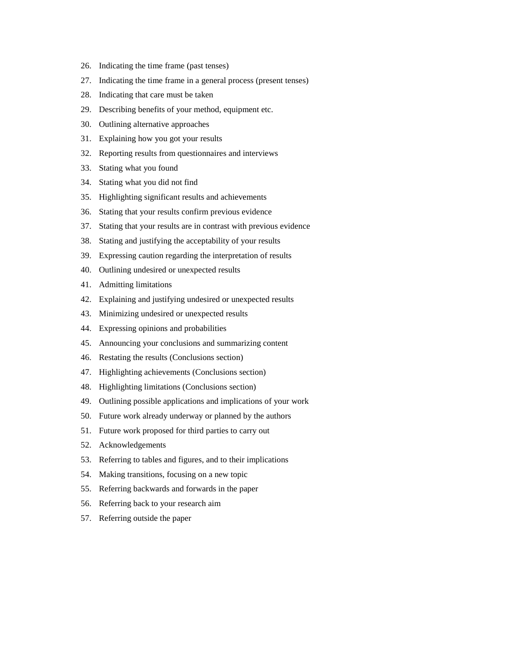- 26. Indicating the time frame (past tenses)
- 27. Indicating the time frame in a general process (present tenses)
- 28. Indicating that care must be taken
- 29. Describing benefits of your method, equipment etc.
- 30. Outlining alternative approaches
- 31. Explaining how you got your results
- 32. Reporting results from questionnaires and interviews
- 33. Stating what you found
- 34. Stating what you did not find
- 35. Highlighting significant results and achievements
- 36. Stating that your results confirm previous evidence
- 37. Stating that your results are in contrast with previous evidence
- 38. Stating and justifying the acceptability of your results
- 39. Expressing caution regarding the interpretation of results
- 40. Outlining undesired or unexpected results
- 41. Admitting limitations
- 42. Explaining and justifying undesired or unexpected results
- 43. Minimizing undesired or unexpected results
- 44. Expressing opinions and probabilities
- 45. Announcing your conclusions and summarizing content
- 46. Restating the results (Conclusions section)
- 47. Highlighting achievements (Conclusions section)
- 48. Highlighting limitations (Conclusions section)
- 49. Outlining possible applications and implications of your work
- 50. Future work already underway or planned by the authors
- 51. Future work proposed for third parties to carry out
- 52. Acknowledgements
- 53. Referring to tables and figures, and to their implications
- 54. Making transitions, focusing on a new topic
- 55. Referring backwards and forwards in the paper
- 56. Referring back to your research aim
- 57. Referring outside the paper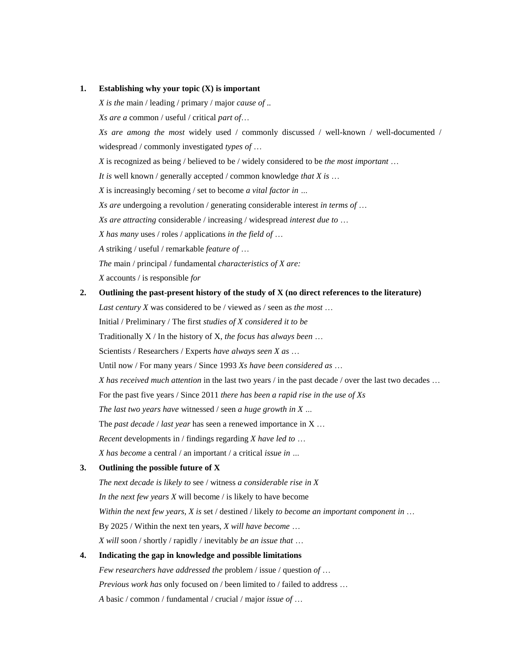# **1. Establishing why your topic (X) is important**

*X is the* main / leading / primary / major *cause of* ..

*Xs are a* common / useful / critical *part of*…

*Xs are among the most* widely used / commonly discussed / well-known / well-documented / widespread / commonly investigated *types of* …

*X* is recognized as being / believed to be / widely considered to be *the most important* …

*It is* well known / generally accepted / common knowledge *that X is* …

*X* is increasingly becoming / set to become *a vital factor in …*

*Xs are* undergoing a revolution / generating considerable interest *in terms of* …

*Xs are attracting* considerable / increasing / widespread *interest due to* …

*X has many* uses / roles / applications *in the field of* …

*A* striking / useful / remarkable *feature of* …

*The* main / principal / fundamental *characteristics of X are:*

*X* accounts / is responsible *for*

**2. Outlining the past-present history of the study of X (no direct references to the literature)**

*Last century X* was considered to be / viewed as / seen as *the most* …

Initial / Preliminary / The first *studies of X considered it to be*

Traditionally X / In the history of X, *the focus has always been* …

Scientists / Researchers / Experts *have always seen X as* …

Until now / For many years / Since 1993 *Xs have been considered as* …

*X has received much attention* in the last two years / in the past decade / over the last two decades …

For the past five years / Since 2011 *there has been a rapid rise in the use of Xs*

*The last two years have* witnessed / seen *a huge growth in X …*

The *past decade* / *last year* has seen a renewed importance in X …

*Recent* developments in / findings regarding *X have led to* …

*X has become* a central / an important / a critical *issue in …*

# **3. Outlining the possible future of X**

*The next decade is likely to* see / witness *a considerable rise in X In the next few years X* will become / is likely to have become *Within the next few years, X is* set / destined / likely *to become an important component in* … By 2025 / Within the next ten years, *X will have become* … *X will* soon / shortly / rapidly / inevitably *be an issue that* …

# **4. Indicating the gap in knowledge and possible limitations**

*Few researchers have addressed the* problem / issue / question *of* … *Previous work has* only focused on / been limited to / failed to address … *A* basic / common / fundamental / crucial / major *issue of* …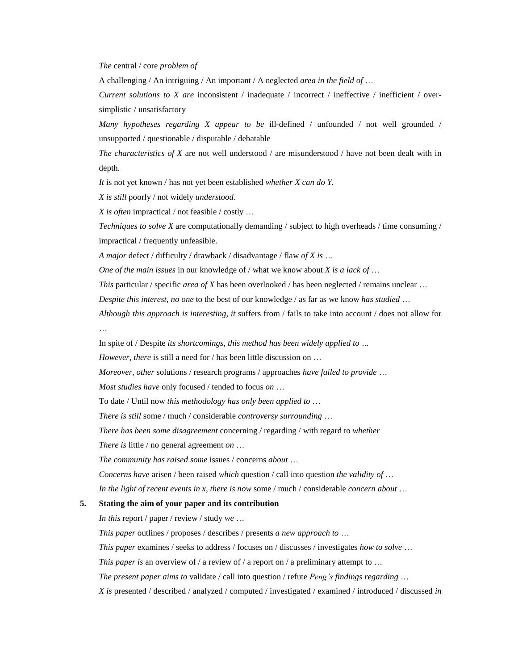*The* central / core *problem of*

A challenging / An intriguing / An important / A neglected *area in the field of* …

*Current solutions to X are* inconsistent / inadequate / incorrect / ineffective / inefficient / oversimplistic / unsatisfactory

*Many hypotheses regarding X appear to be* ill-defined / unfounded / not well grounded / unsupported / questionable / disputable / debatable

*The characteristics of X* are not well understood / are misunderstood / have not been dealt with in depth.

*It* is not yet known / has not yet been established *whether X can do Y.*

*X is still* poorly / not widely *understood*.

*X is often* impractical / not feasible / costly …

*Techniques to solve X* are computationally demanding / subject to high overheads / time consuming / impractical / frequently unfeasible.

*A major* defect / difficulty / drawback / disadvantage / flaw *of X is* …

*One of the main issues* in our knowledge of / what we know about *X is a lack of* …

*This* particular / specific *area of X* has been overlooked / has been neglected / remains unclear ...

*Despite this interest, no one* to the best of our knowledge / as far as we know *has studied* …

*Although this approach is interesting, it* suffers from / fails to take into account / does not allow for

…

In spite of / Despite *its shortcomings, this method has been widely applied to …*

*However, there* is still a need for / has been little discussion on …

*Moreover, other* solutions / research programs / approaches *have failed to provide* …

*Most studies have* only focused / tended to focus *on* …

To date / Until now *this methodology has only been applied to* …

*There is still* some / much / considerable *controversy surrounding* …

*There has been some disagreement* concerning / regarding / with regard to *whether*

*There is* little / no general agreement *on* …

*The community has raised some* issues / concerns *about* …

*Concerns have* arisen / been raised *which* question / call into question *the validity of* …

*In the light of recent events in x, there is now* some / much / considerable *concern about* …

## **5. Stating the aim of your paper and its contribution**

*In this* report / paper / review / study *we* …

*This paper* outlines / proposes / describes / presents *a new approach to* …

*This paper* examines / seeks to address / focuses on / discusses / investigates *how to solve* …

*This paper is* an overview of / a review of / a report on / a preliminary attempt to ...

*The present paper aims to* validate / call into question / refute *Peng's findings regarding* …

*X is* presented / described / analyzed / computed / investigated / examined / introduced / discussed *in*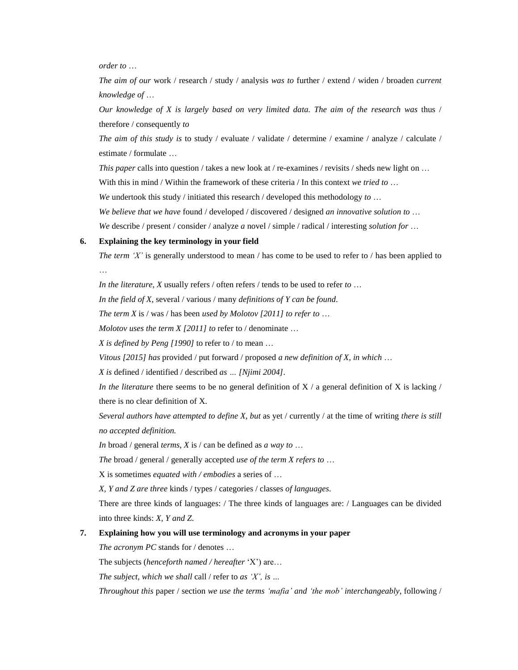*order to* …

*The aim of our* work / research / study / analysis *was to* further / extend / widen / broaden *current knowledge of* …

*Our knowledge of X is largely based on very limited data. The aim of the research was* thus / therefore / consequently *to*

*The aim of this study is* to study / evaluate / validate / determine / examine / analyze / calculate / estimate / formulate …

*This paper* calls into question / takes a new look at / re-examines / revisits / sheds new light on ...

With this in mind / Within the framework of these criteria / In this context *we tried to* …

*We* undertook this study / initiated this research / developed this methodology *to* …

*We believe that we have* found / developed / discovered / designed *an innovative solution to* …

*We* describe / present / consider / analyze *a* novel / simple / radical / interesting *solution for* …

#### **6. Explaining the key terminology in your field**

*The term 'X'* is generally understood to mean / has come to be used to refer to / has been applied to …

*In the literature*, *X* usually refers / often refers / tends to be used to refer *to* …

*In the field of X*, several / various / many *definitions of Y can be found*.

*The term X* is / was / has been *used by Molotov [2011] to refer to* …

*Molotov uses the term X [2011] to* refer to / denominate …

*X is defined by Peng [1990]* to refer to / to mean …

*Vitous [2015] has* provided / put forward / proposed *a new definition of X, in which* …

*X is* defined / identified / described *as … [Njimi 2004]*.

*In the literature* there seems to be no general definition of  $X / a$  general definition of X is lacking  $/ a$ there is no clear definition of X.

*Several authors have attempted to define X, but* as yet / currently / at the time of writing *there is still no accepted definition.*

*In* broad / general *terms*, *X* is / can be defined as *a way to* …

*The* broad / general / generally accepted *use of the term X refers to* …

X is sometimes *equated with / embodies* a series of …

*X, Y and Z are three* kinds / types / categories / classes *of languages*.

There are three kinds of languages: / The three kinds of languages are: / Languages can be divided into three kinds: *X, Y and Z*.

## **7. Explaining how you will use terminology and acronyms in your paper**

*The acronym PC* stands for / denotes …

The subjects (*henceforth named / hereafter* 'X') are…

*The subject, which we shall* call / refer to *as 'X', is …*

*Throughout this* paper / section *we use the terms 'mafia' and 'the mob' interchangeably*, following /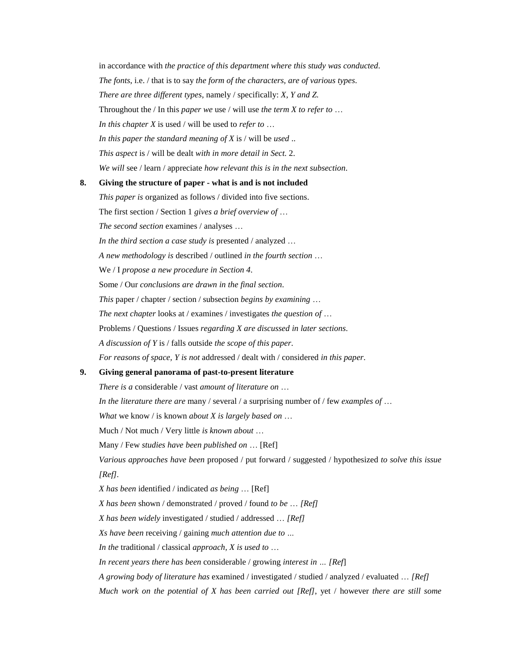in accordance with *the practice of this department where this study was conducted*. *The fonts*, i.e. / that is to say *the form of the characters, are of various types*. *There are three different types*, namely / specifically: *X, Y and Z.* Throughout the / In this *paper* we use / will use *the term X to refer to* ... *In this chapter X* is used / will be used to *refer to* … *In this paper the standard meaning of X* is / will be *used* .. *This aspect* is / will be dealt *with in more detail in Sect.* 2. *We will* see / learn / appreciate *how relevant this is in the next subsection*.

## **8. Giving the structure of paper - what is and is not included**

*This paper is* organized as follows / divided into five sections.

The first section / Section 1 *gives a brief overview of* …

*The second section* examines / analyses …

*In the third section a case study is* presented / analyzed …

*A new methodology is* described / outlined *in the fourth section* …

We / I *propose a new procedure in Section 4*.

Some / Our *conclusions are drawn in the final section*.

*This* paper / chapter / section / subsection *begins by examining* …

*The next chapter* looks at / examines / investigates *the question of* …

Problems / Questions / Issues *regarding X are discussed in later sections*.

*A discussion of Y* is / falls outside *the scope of this paper*.

*For reasons of space, Y is not* addressed / dealt with / considered *in this paper*.

#### **9. Giving general panorama of past-to-present literature**

*There is a* considerable / vast *amount of literature on* …

*In the literature there are* many / several / a surprising number of / few *examples of* …

*What* we know / is known *about X is largely based on* …

Much / Not much / Very little *is known about* …

Many / Few *studies have been published on* … [Ref]

*Various approaches have been* proposed / put forward / suggested / hypothesized *to solve this issue [Ref].*

*X has been* identified / indicated *as being* … [Ref]

*X has been* shown / demonstrated / proved / found *to be* … *[Ref]*

*X has been widely* investigated / studied / addressed … *[Ref]*

*Xs have been* receiving / gaining *much attention due to …*

*In the* traditional / classical *approach, X is used to* …

*In recent years there has been* considerable / growing *interest in … [Ref*]

*A growing body of literature has* examined / investigated / studied / analyzed / evaluated … *[Ref]*

*Much work on the potential of X has been carried out [Ref]*, yet / however *there are still some*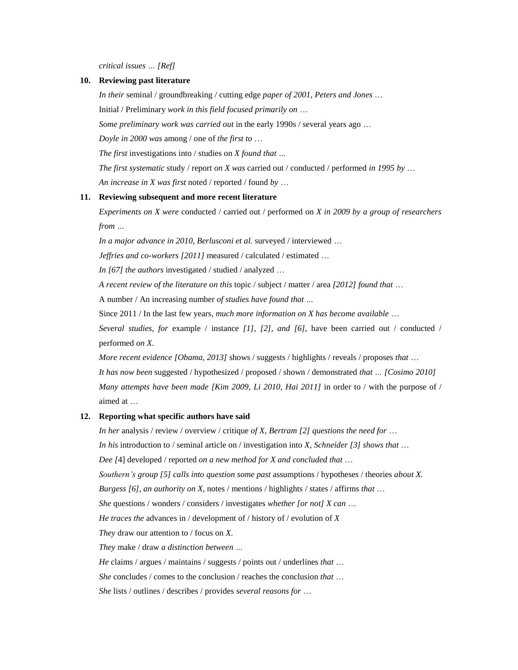*critical issues … [Ref]*

### **10. Reviewing past literature**

*In their* seminal / groundbreaking / cutting edge *paper of 2001, Peters and Jones* …

Initial / Preliminary *work in this field focused primarily on* …

*Some preliminary work was carried out* in the early 1990s / several years ago …

*Doyle in 2000 was* among / one of *the first to* …

*The first* investigations into / studies on *X found that …*

*The first systematic* study / report *on X was* carried out / conducted / performed *in 1995 by* …

*An increase in X was first* noted / reported / found *by* …

#### **11. Reviewing subsequent and more recent literature**

*Experiments on X were* conducted / carried out / performed on *X in 2009 by a group of researchers from …*

*In a major advance in 2010, Berlusconi et al.* surveyed / interviewed …

*Jeffries and co-workers [2011]* measured / calculated / estimated …

*In [67] the authors* investigated / studied / analyzed …

*A recent review of the literature on this* topic / subject / matter / area *[2012] found that* …

A number / An increasing number *of studies have found that …*

Since 2011 / In the last few years*, much more information on X has become available* …

*Several studies, for* example / instance *[1], [2], and [6]*, have been carried out / conducted / performed *on X*.

*More recent evidence [Obama, 2013]* shows / suggests / highlights / reveals / proposes *that* … *It has now been* suggested / hypothesized / proposed / shown / demonstrated *that … [Cosimo 2010] Many attempts have been made [Kim 2009, Li 2010, Hai 2011]* in order to / with the purpose of / aimed at …

#### **12. Reporting what specific authors have said**

*In her* analysis / review / overview / critique *of X, Bertram [2] questions the need for* …

*In his* introduction to / seminal article on / investigation into *X, Schneider [3] shows that* …

*Dee [*4] developed / reported *on a new method for X and concluded that* …

*Southern's group [5] calls into question some past* assumptions / hypotheses / theories *about X.*

*Burgess [6], an authority on X*, notes / mentions / highlights / states / affirms *that* …

*She* questions / wonders / considers / investigates *whether [or not] X can* …

*He traces the* advances in / development of / history of / evolution of *X*

*They* draw our attention to / focus on *X*.

*They* make / draw *a distinction between …*

*He* claims / argues / maintains / suggests / points out / underlines *that* …

*She* concludes / comes to the conclusion / reaches the conclusion *that* …

*She* lists / outlines / describes / provides *several reasons for* …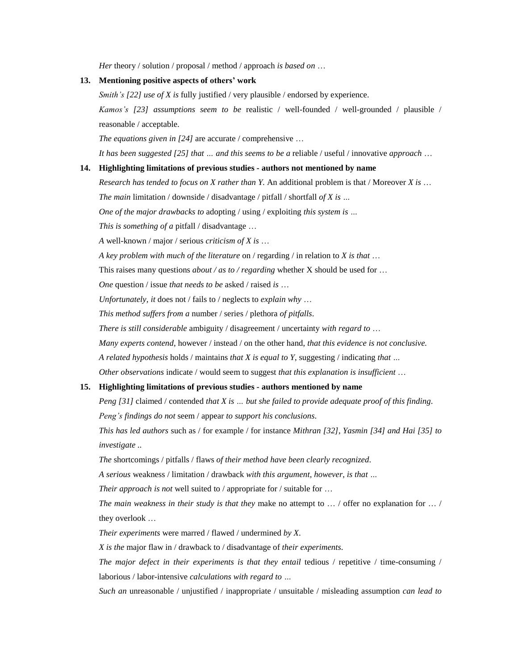*Her* theory / solution / proposal / method / approach *is based on* …

#### **13. Mentioning positive aspects of others' work**

*Smith's [22] use of X is* fully justified / very plausible / endorsed by experience.

*Kamos's [23] assumptions seem to be* realistic / well-founded / well-grounded / plausible / reasonable / acceptable.

*The equations given in [24]* are accurate / comprehensive …

*It has been suggested [25] that … and this seems to be a* reliable / useful / innovative *approach* …

# **14. Highlighting limitations of previous studies - authors not mentioned by name**

*Research has tended to focus on X rather than Y.* An additional problem is that / Moreover *X is* …

*The main* limitation / downside / disadvantage / pitfall / shortfall *of X is …*

*One of the major drawbacks to* adopting / using / exploiting *this system is …*

*This is something of a* pitfall / disadvantage …

*A* well-known / major / serious *criticism of X is* …

*A key problem with much of the literature* on / regarding / in relation to *X is that* …

This raises many questions *about / as to / regarding* whether X should be used for …

*One* question / issue *that needs to be* asked / raised *is* …

*Unfortunately, it* does not / fails to / neglects to *explain why* …

*This method suffers from a* number / series / plethora *of pitfalls*.

*There is still considerable* ambiguity / disagreement / uncertainty *with regard to* …

*Many experts contend*, however / instead / on the other hand, *that this evidence is not conclusive.*

*A related hypothesis* holds / maintains *that X is equal to Y*, suggesting / indicating *that …*

*Other observations* indicate / would seem to suggest *that this explanation is insufficient* …

# **15. Highlighting limitations of previous studies - authors mentioned by name**

*Peng [31]* claimed / contended *that X is … but she failed to provide adequate proof of this finding*. *Peng's findings do not* seem / appear *to support his conclusions*.

*This has led authors* such as / for example / for instance *Mithran [32], Yasmin [34] and Hai [35] to investigate ..*

*The* shortcomings / pitfalls / flaws *of their method have been clearly recognized*.

*A serious* weakness / limitation / drawback *with this argument, however, is that …*

*Their approach is not* well suited to / appropriate for / suitable for …

*The main weakness in their study is that they* make no attempt to … / offer no explanation for … / they overlook …

*Their experiments* were marred / flawed / undermined *by X*.

*X is the* major flaw in / drawback to / disadvantage of *their experiments*.

*The major defect in their experiments is that they entail* tedious / repetitive / time-consuming / laborious / labor-intensive *calculations with regard to …*

*Such an* unreasonable / unjustified / inappropriate / unsuitable / misleading assumption *can lead to*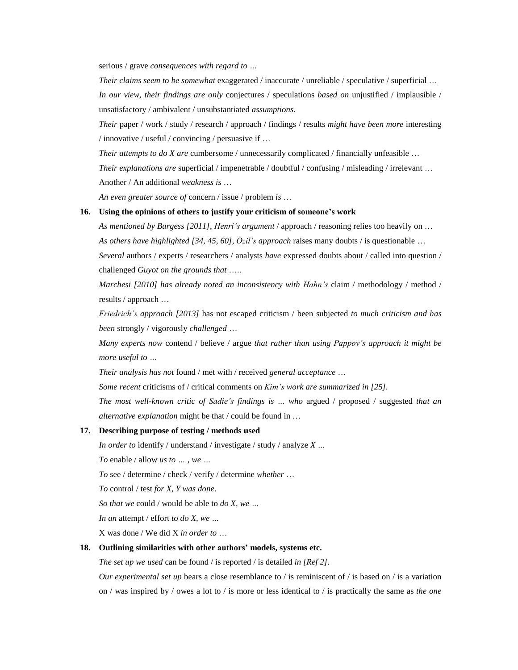serious / grave *consequences with regard to …*

*Their claims seem to be somewhat* exaggerated / inaccurate / unreliable / speculative / superficial … *In our view, their findings are only* conjectures / speculations *based on* unjustified / implausible / unsatisfactory / ambivalent / unsubstantiated *assumptions*.

*Their* paper / work / study / research / approach / findings / results *might have been more* interesting / innovative / useful / convincing / persuasive if …

*Their attempts to do X are* cumbersome / unnecessarily complicated / financially unfeasible …

*Their explanations are* superficial / impenetrable / doubtful / confusing / misleading / irrelevant … Another / An additional *weakness is* …

*An even greater source of* concern / issue / problem *is* …

### **16. Using the opinions of others to justify your criticism of someone's work**

*As mentioned by Burgess [2011], Henri's argument* / approach / reasoning relies too heavily on …

*As others have highlighted [34, 45, 60], Ozil's approach* raises many doubts / is questionable …

*Several* authors / experts / researchers / analysts *have* expressed doubts about / called into question / challenged *Guyot on the grounds that* …..

*Marchesi [2010] has already noted an inconsistency with Hahn's* claim / methodology / method / results / approach …

*Friedrich's approach [2013]* has not escaped criticism / been subjected *to much criticism and has been* strongly / vigorously *challenged* …

*Many experts now* contend / believe / argue *that rather than using Pappov's approach it might be more useful to …*

*Their analysis has not* found / met with / received *general acceptance* …

*Some recent* criticisms of / critical comments on *Kim's work are summarized in [25].*

*The most well-known critic of Sadie's findings is … who* argued / proposed / suggested *that an alternative explanation* might be that / could be found in …

# **17. Describing purpose of testing / methods used**

*In order to* identify / understand / investigate / study / analyze *X …*

*To* enable / allow *us to … , we …*

*To* see / determine / check / verify / determine *whether* …

*To* control / test *for X, Y was done*.

*So that we* could / would be able to *do X, we …*

*In an* attempt / effort *to do X, we …*

X was done / We did X *in order to* …

#### **18. Outlining similarities with other authors' models, systems etc.**

*The set up we used* can be found / is reported / is detailed *in [Ref 2].*

*Our experimental set up* bears a close resemblance to / is reminiscent of / is based on / is a variation on / was inspired by / owes a lot to / is more or less identical to / is practically the same as *the one*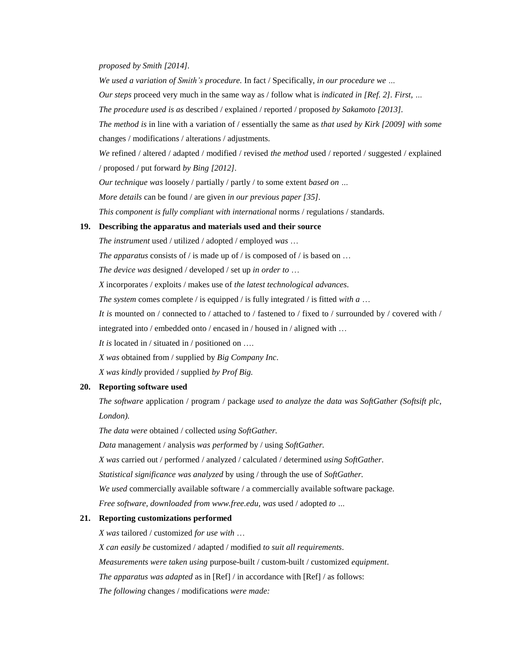*proposed by Smith [2014].*

*We used a variation of Smith's procedure.* In fact / Specifically, *in our procedure we … Our steps* proceed very much in the same way as / follow what is *indicated in [Ref. 2]. First, … The procedure used is as* described / explained / reported / proposed *by Sakamoto [2013]. The method is* in line with a variation of / essentially the same as *that used by Kirk [2009] with some* changes / modifications / alterations / adjustments. *We* refined / altered / adapted / modified / revised *the method* used / reported / suggested / explained / proposed / put forward *by Bing [2012]. Our technique was* loosely / partially / partly / to some extent *based on … More details* can be found / are given *in our previous paper [35]. This component is fully compliant with international* norms / regulations / standards.

## **19. Describing the apparatus and materials used and their source**

*The instrument* used / utilized / adopted / employed *was* …

*The apparatus* consists of / is made up of / is composed of / is based on ...

*The device was* designed / developed / set up *in order to* …

*X* incorporates / exploits / makes use of *the latest technological advances*.

*The system* comes complete / is equipped / is fully integrated / is fitted *with a* …

*It is* mounted on / connected to / attached to / fastened to / fixed to / surrounded by / covered with /

integrated into / embedded onto / encased in / housed in / aligned with …

*It is* located in / situated in / positioned on ….

*X was* obtained from / supplied by *Big Company Inc*.

*X was kindly* provided / supplied *by Prof Big.*

#### **20. Reporting software used**

*The software* application / program / package *used to analyze the data was SoftGather (Softsift plc, London).*

*The data were* obtained / collected *using SoftGather.*

*Data* management / analysis *was performed* by / using *SoftGather.*

*X was* carried out / performed / analyzed / calculated / determined *using SoftGather*.

*Statistical significance was analyzed* by using / through the use of *SoftGather.*

*We used* commercially available software / a commercially available software package.

*Free software, downloaded from www.free.edu, was* used / adopted *to …*

# **21. Reporting customizations performed**

*X was* tailored / customized *for use with* …

*X can easily be* customized / adapted / modified *to suit all requirements*.

*Measurements were taken using* purpose-built / custom-built / customized *equipment*.

*The apparatus was adapted* as in [Ref] / in accordance with [Ref] / as follows:

*The following* changes / modifications *were made:*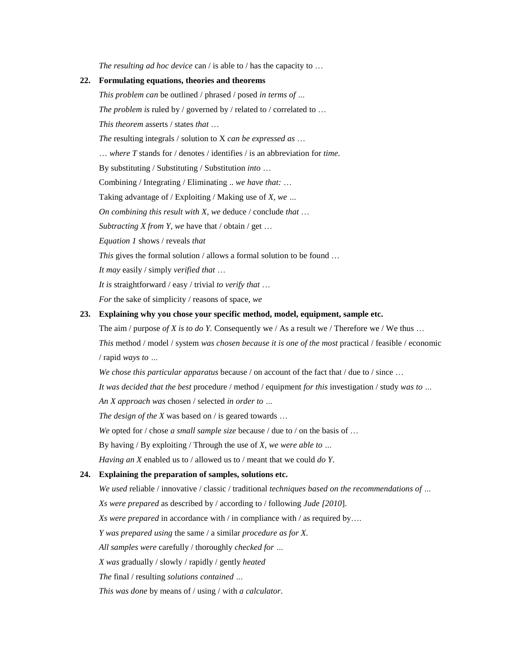*The resulting ad hoc device* can / is able to / has the capacity to …

#### **22. Formulating equations, theories and theorems**

*This problem can* be outlined / phrased / posed *in terms of …*

*The problem is* ruled by / governed by / related to / correlated to …

*This theorem* asserts / states *that* …

*The* resulting integrals / solution to X *can be expressed as* …

… *where T* stands for / denotes / identifies / is an abbreviation for *time*.

By substituting / Substituting / Substitution *into* …

Combining / Integrating / Eliminating .. *we have that:* …

Taking advantage of / Exploiting / Making use of *X, we …*

*On combining this result with X, we* deduce / conclude *that* …

*Subtracting X from Y, we* have that / obtain / get …

*Equation 1* shows / reveals *that*

*This* gives the formal solution / allows a formal solution to be found ...

*It may* easily / simply *verified that* …

*It is* straightforward / easy / trivial *to verify that* …

*For* the sake of simplicity / reasons of space*, we*

#### **23. Explaining why you chose your specific method, model, equipment, sample etc.**

The aim / purpose of *X* is to do *Y*. Consequently we / As a result we / Therefore we / We thus ...

*This* method / model / system *was chosen because it is one of the most* practical / feasible / economic / rapid *ways to …*

*We chose this particular apparatus* because / on account of the fact that / due to / since …

*It was decided that the best* procedure / method / equipment *for this* investigation / study *was to …*

*An X approach was* chosen / selected *in order to …*

*The design of the X* was based on / is geared towards …

*We* opted for / chose *a small sample size* because / due to / on the basis of …

By having / By exploiting / Through the use of *X, we were able to …*

*Having an X* enabled us to / allowed us to / meant that we could *do Y*.

# **24. Explaining the preparation of samples, solutions etc.**

*We used* reliable / innovative / classic / traditional *techniques based on the recommendations of …*

*Xs were prepared* as described by / according to / following *Jude [2010*].

*Xs were prepared* in accordance with / in compliance with / as required by….

*Y was prepared using* the same / a similar *procedure as for X.*

*All samples were* carefully / thoroughly *checked for …*

*X was* gradually / slowly / rapidly / gently *heated*

*The* final / resulting *solutions contained …*

*This was done* by means of / using / with *a calculator*.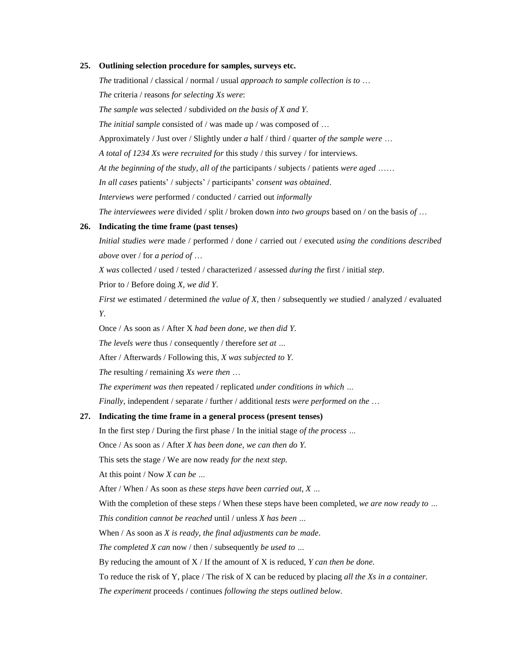#### **25. Outlining selection procedure for samples, surveys etc.**

*The* traditional / classical / normal / usual *approach to sample collection is to* … *The* criteria / reasons *for selecting Xs were*: *The sample was* selected / subdivided *on the basis of X and Y*. *The initial sample* consisted of / was made up / was composed of … Approximately / Just over / Slightly under *a* half / third / quarter *of the sample were* … *A total of 1234 Xs were recruited for* this study / this survey / for interviews. *At the beginning of the study, all of the* participants / subjects / patients *were aged* …… *In all cases* patients' / subjects' / participants' *consent was obtained*. *Interviews were* performed / conducted / carried out *informally The interviewees were* divided / split / broken down *into two groups* based on / on the basis *of* …

#### **26. Indicating the time frame (past tenses)**

*Initial studies were* made / performed / done / carried out / executed *using the conditions described above* over / for *a period of* …

*X was* collected / used / tested / characterized / assessed *during the* first / initial *step*.

Prior to / Before doing *X, we did Y*.

*First we* estimated / determined *the value of X*, then / subsequently *we* studied / analyzed / evaluated *Y*.

Once / As soon as / After X *had been done, we then did Y*.

*The levels were* thus / consequently / therefore *set at …*

After / Afterwards / Following this, *X was subjected to Y.*

*The* resulting / remaining *Xs were then* …

*The experiment was then* repeated / replicated *under conditions in which …*

*Finally*, independent / separate / further / additional *tests were performed on the* …

#### **27. Indicating the time frame in a general process (present tenses)**

In the first step / During the first phase / In the initial stage *of the process …*

Once / As soon as / After *X has been done, we can then do Y.*

This sets the stage / We are now ready *for the next step.*

At this point / Now *X can be …*

After / When / As soon as *these steps have been carried out, X …*

With the completion of these steps / When these steps have been completed, *we are now ready to …*

*This condition cannot be reached* until / unless *X has been …*

When / As soon as *X is ready, the final adjustments can be made*.

*The completed X can* now / then / subsequently *be used to …*

By reducing the amount of X / If the amount of X is reduced, *Y can then be done.*

To reduce the risk of Y, place / The risk of X can be reduced by placing *all the Xs in a container.*

*The experiment* proceeds / continues *following the steps outlined below*.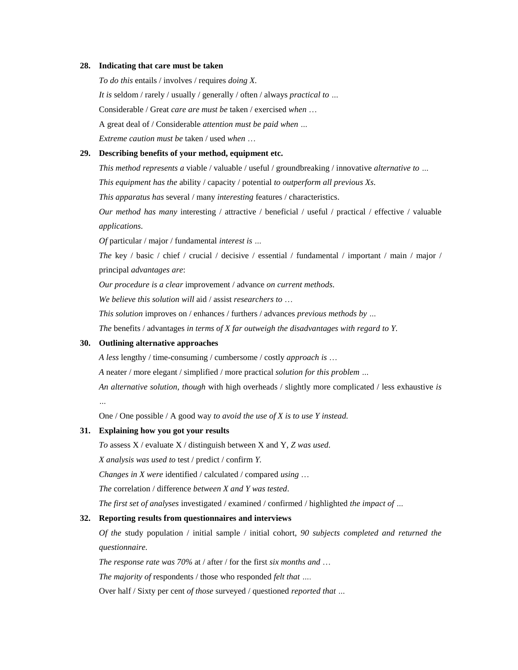#### **28. Indicating that care must be taken**

*To do this* entails / involves / requires *doing X. It is* seldom / rarely / usually / generally / often / always *practical to …* Considerable / Great *care are must be* taken / exercised *when* … A great deal of / Considerable *attention must be paid when … Extreme caution must be* taken / used *when* …

# **29. Describing benefits of your method, equipment etc.**

*This method represents a* viable / valuable / useful / groundbreaking / innovative *alternative to …*

*This equipment has the* ability / capacity / potential *to outperform all previous Xs*.

*This apparatus has* several / many *interesting* features / characteristics.

*Our method has many* interesting / attractive / beneficial / useful / practical / effective / valuable *applications*.

*Of* particular / major / fundamental *interest is …*

*The* key / basic / chief / crucial / decisive / essential / fundamental / important / main / major / principal *advantages are*:

*Our procedure is a clear* improvement / advance *on current methods*.

*We believe this solution will* aid / assist *researchers to* …

*This solution* improves on / enhances / furthers / advances *previous methods by …*

*The* benefits / advantages *in terms of X far outweigh the disadvantages with regard to Y.*

#### **30. Outlining alternative approaches**

*A less* lengthy / time-consuming / cumbersome / costly *approach is* …

*A* neater / more elegant / simplified / more practical *solution for this problem …*

*An alternative solution, though* with high overheads / slightly more complicated / less exhaustive *is*

*…*

One / One possible / A good way *to avoid the use of X is to use Y instead.*

# **31. Explaining how you got your results**

*To* assess X / evaluate X / distinguish between X and Y, *Z was used.*

*X analysis was used to* test / predict / confirm *Y.*

*Changes in X were* identified / calculated / compared *using* …

*The* correlation / difference *between X and Y was tested*.

*The first set of analyses* investigated / examined / confirmed / highlighted *the impact of …*

#### **32. Reporting results from questionnaires and interviews**

*Of the* study population / initial sample / initial cohort, *90 subjects completed and returned the questionnaire.*

*The response rate was 70%* at / after / for the first *six months and* …

*The majority of* respondents / those who responded *felt that ….*

Over half / Sixty per cent *of those* surveyed / questioned *reported that …*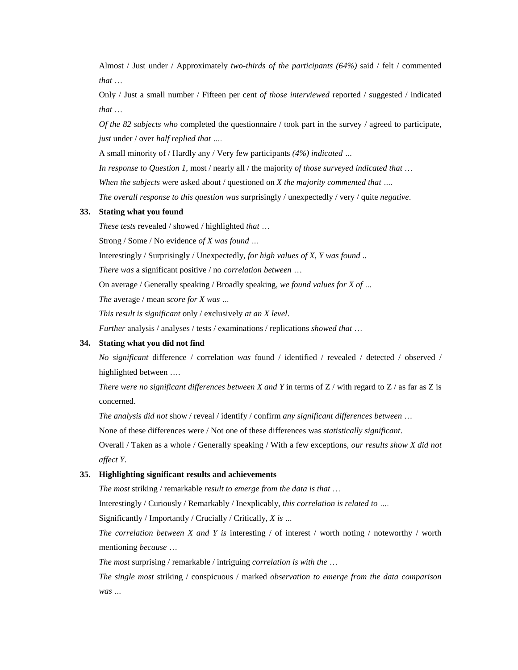Almost / Just under / Approximately *two-thirds of the participants (64%)* said / felt / commented *that* …

Only / Just a small number / Fifteen per cent *of those interviewed* reported / suggested / indicated *that* …

*Of the 82 subjects who* completed the questionnaire / took part in the survey / agreed to participate, *just* under / over *half replied that ….*

A small minority of / Hardly any / Very few participants *(4%) indicated …*

*In response to Question 1*, most / nearly all / the majority *of those surveyed indicated that* …

*When the subjects* were asked about / questioned on *X the majority commented that ….*

*The overall response to this question was* surprisingly / unexpectedly / very / quite *negative*.

# **33. Stating what you found**

*These tests* revealed / showed / highlighted *that* …

Strong / Some / No evidence *of X was found …*

Interestingly / Surprisingly / Unexpectedly, *for high values of X, Y was found* ..

*There was* a significant positive / no *correlation between* …

On average / Generally speaking / Broadly speaking, *we found values for X of …*

*The* average / mean *score for X was …*

*This result is significant* only / exclusively *at an X level*.

*Further* analysis / analyses / tests / examinations / replications *showed that* …

#### **34. Stating what you did not find**

*No significant* difference / correlation *was* found / identified / revealed / detected / observed / highlighted between ….

*There were no significant differences between X and Y* in terms of Z / with regard to Z / as far as Z is concerned.

*The analysis did not* show / reveal / identify / confirm *any significant differences between* …

None of these differences were / Not one of these differences was *statistically significant*.

Overall / Taken as a whole / Generally speaking / With a few exceptions, *our results show X did not affect Y*.

# **35. Highlighting significant results and achievements**

*The most* striking / remarkable *result to emerge from the data is that* …

Interestingly / Curiously / Remarkably / Inexplicably, *this correlation is related to ….*

Significantly / Importantly / Crucially / Critically, *X is …*

*The correlation between X and Y is* interesting / of interest / worth noting / noteworthy / worth mentioning *because* …

*The most* surprising / remarkable / intriguing *correlation is with the* …

*The single most* striking / conspicuous / marked *observation to emerge from the data comparison was …*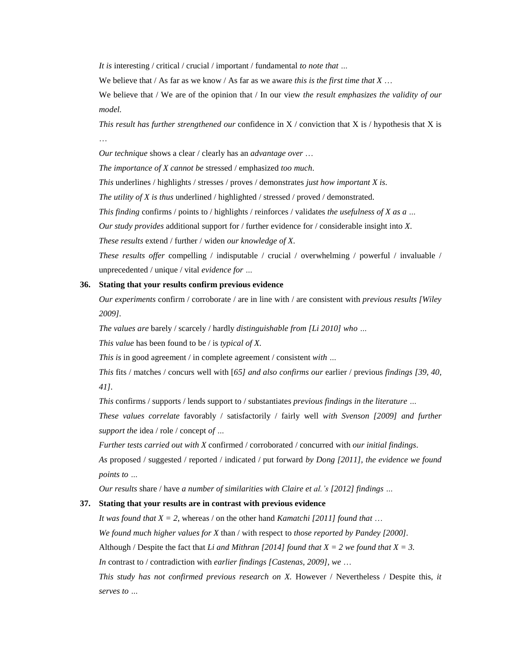*It is* interesting / critical / crucial / important / fundamental *to note that …*

We believe that / As far as we know / As far as we aware *this is the first time that*  $X$  ...

We believe that / We are of the opinion that / In our view *the result emphasizes the validity of our model.*

*This result has further strengthened our* confidence in X / conviction that X is / hypothesis that X is …

*Our technique* shows a clear / clearly has an *advantage over* …

*The importance of X cannot be* stressed / emphasized *too much*.

*This* underlines / highlights / stresses / proves / demonstrates *just how important X is*.

*The utility of X is thus* underlined / highlighted / stressed / proved / demonstrated.

*This finding* confirms / points to / highlights / reinforces / validates *the usefulness of X as a …*

*Our study provides* additional support for / further evidence for / considerable insight into *X*.

*These results* extend / further / widen *our knowledge of X*.

*These results offer* compelling / indisputable / crucial / overwhelming / powerful / invaluable / unprecedented / unique / vital *evidence for …*

# **36. Stating that your results confirm previous evidence**

*Our experiments* confirm / corroborate / are in line with / are consistent with *previous results [Wiley 2009].*

*The values are* barely / scarcely / hardly *distinguishable from [Li 2010] who …*

*This value* has been found to be / is *typical of X.*

*This is* in good agreement / in complete agreement / consistent *with …*

*This* fits / matches / concurs well with [*65] and also confirms our* earlier / previous *findings [39, 40, 41].*

*This* confirms / supports / lends support to / substantiates *previous findings in the literature …*

*These values correlate* favorably / satisfactorily / fairly well *with Svenson [2009] and further support the* idea / role / concept *of …*

*Further tests carried out with X* confirmed / corroborated / concurred with *our initial findings*. *As* proposed / suggested / reported / indicated / put forward *by Dong [2011], the evidence we found points to …*

*Our results* share / have *a number of similarities with Claire et al.'s [2012] findings …*

## **37. Stating that your results are in contrast with previous evidence**

*It* was found that  $X = 2$ , whereas / on the other hand *Kamatchi* [2011] *found that* …

*We found much higher values for X* than / with respect to *those reported by Pandey [2000].*

Although / Despite the fact that *Li and Mithran* [2014] *found that*  $X = 2$  *we found that*  $X = 3$ .

*In* contrast to / contradiction with *earlier findings [Castenas, 2009], we* …

*This study has not confirmed previous research on X.* However / Nevertheless / Despite this, *it serves to …*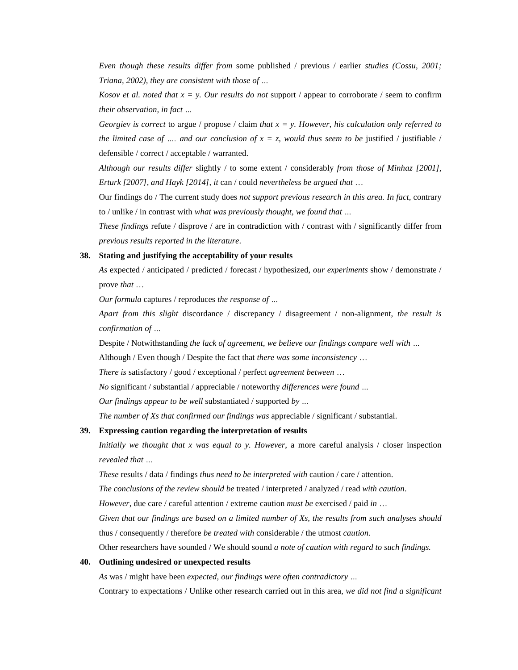*Even though these results differ from* some published / previous / earlier *studies (Cossu, 2001; Triana, 2002), they are consistent with those of …*

*Kosov et al. noted that*  $x = y$ *. Our results do not* support / appear to corroborate / seem to confirm *their observation, in fact …*

*Georgiev is correct* to argue / propose / claim *that x = y. However, his calculation only referred to the limited case* of  $\dots$  *and our conclusion* of  $x = z$ *, would thus seem to be* justified / justifiable / defensible / correct / acceptable / warranted.

*Although our results differ* slightly / to some extent / considerably *from those of Minhaz [2001], Erturk [2007], and Hayk [2014], it* can / could *nevertheless be argued that* …

Our findings do / The current study does *not support previous research in this area. In fact*, contrary to / unlike / in contrast with *what was previously thought, we found that …*

*These findings* refute / disprove / are in contradiction with / contrast with / significantly differ from *previous results reported in the literature*.

# **38. Stating and justifying the acceptability of your results**

*As* expected / anticipated / predicted / forecast / hypothesized, *our experiments* show / demonstrate / prove *that* …

*Our formula* captures / reproduces *the response of …*

*Apart from this slight* discordance / discrepancy / disagreement / non-alignment, *the result is confirmation of …*

Despite / Notwithstanding *the lack of agreement, we believe our findings compare well with …*

Although / Even though / Despite the fact that *there was some inconsistency* …

*There is* satisfactory / good / exceptional / perfect *agreement between* …

*No* significant / substantial / appreciable / noteworthy *differences were found …*

*Our findings appear to be well* substantiated / supported *by …*

*The number of Xs that confirmed our findings was* appreciable / significant / substantial.

#### **39. Expressing caution regarding the interpretation of results**

*Initially we thought that x was equal to y. However*, a more careful analysis / closer inspection *revealed that …*

*These* results / data / findings *thus need to be interpreted with* caution / care / attention.

*The conclusions of the review should be* treated / interpreted / analyzed / read *with caution*.

*However*, due care / careful attention / extreme caution *must be* exercised / paid *in* …

*Given that our findings are based on a limited number of Xs, the results from such analyses should* thus / consequently / therefore *be treated with* considerable / the utmost *caution*.

Other researchers have sounded / We should sound *a note of caution with regard to such findings.*

# **40. Outlining undesired or unexpected results**

*As* was / might have been *expected, our findings were often contradictory …*

Contrary to expectations / Unlike other research carried out in this area, *we did not find a significant*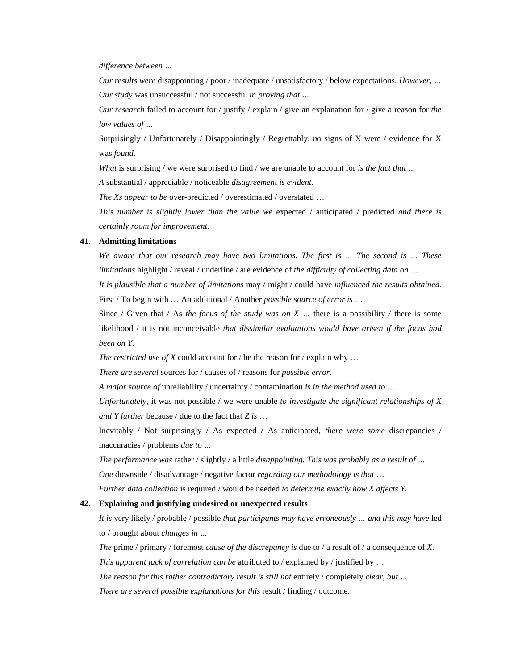*difference between …*

*Our results were* disappointing / poor / inadequate / unsatisfactory / below expectations. *However, … Our study* was unsuccessful / not successful *in proving that …*

*Our research* failed to account for / justify / explain / give an explanation for / give a reason for *the low values of …*

Surprisingly / Unfortunately / Disappointingly / Regrettably, *no* signs of X were / evidence for X was *found*.

*What* is surprising / we were surprised to find / we are unable to account for *is the fact that …*

*A* substantial / appreciable / noticeable *disagreement is evident.*

*The Xs appear to be* over-predicted / overestimated / overstated …

*This number is slightly lower than the value we* expected / anticipated / predicted *and there is certainly room for improvement.*

## **41. Admitting limitations**

*We aware that our research may have two limitations. The first is … The second is … These limitations* highlight / reveal / underline / are evidence of *the difficulty of collecting data on ….*

*It is plausible that a number of limitations* may / might / could have *influenced the results obtained.* First / To begin with … An additional / Another *possible source of error is* …

Since / Given that / As *the focus of the study was on*  $X$   $\ldots$  there is a possibility / there is some likelihood / it is not inconceivable *that dissimilar evaluations would have arisen if the focus had been on Y.*

*The restricted use of*  $X$  could account for  $\prime$  be the reason for  $\prime$  explain why ...

*There are several* sources for / causes of / reasons for *possible error.*

*A major source of* unreliability / uncertainty / contamination *is in the method used to* …

*Unfortunately*, it was not possible / we were unable *to investigate the significant relationships of X and Y further* because / due to the fact that *Z is* …

Inevitably / Not surprisingly / As expected / As anticipated, *there were some* discrepancies / inaccuracies / problems *due to …*

*The performance was* rather / slightly / a little *disappointing. This was probably as a result of … One* downside / disadvantage / negative factor *regarding our methodology is that* …

*Further data collection* is required / would be needed *to determine exactly how X affects Y.*

# **42. Explaining and justifying undesired or unexpected results**

*It is* very likely / probable / possible *that participants may have erroneously … and this may have* led to / brought about *changes in …*

*The* prime / primary / foremost *cause of the discrepancy is* due to / a result of / a consequence of *X*. *This apparent lack of correlation can be* attributed to / explained by / justified by …

*The reason for this rather contradictory result is still not* entirely / completely *clear, but …*

*There are several possible explanations for this* result / finding / outcome.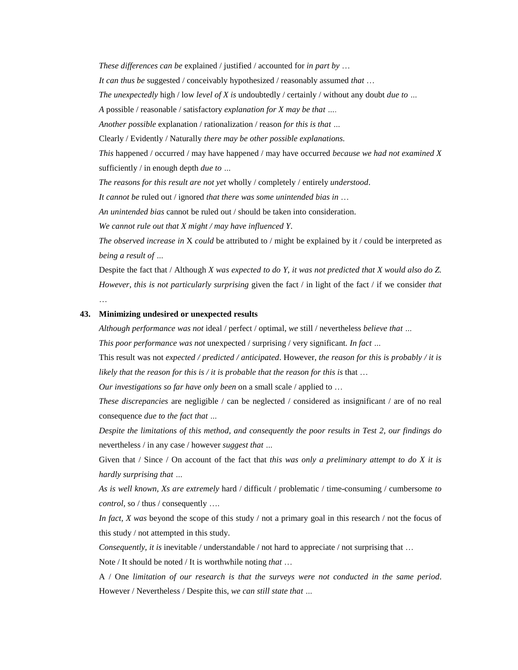*These differences can be* explained / justified / accounted for *in part by* … *It can thus be* suggested / conceivably hypothesized / reasonably assumed *that* … *The unexpectedly* high / low *level of X is* undoubtedly / certainly / without any doubt *due to … A* possible / reasonable / satisfactory *explanation for X may be that …. Another possible* explanation / rationalization / reason *for this is that …* Clearly / Evidently / Naturally *there may be other possible explanations. This* happened / occurred / may have happened / may have occurred *because we had not examined X* sufficiently / in enough depth *due to … The reasons for this result are not yet* wholly / completely / entirely *understood*. *It cannot be* ruled out / ignored *that there was some unintended bias in* … *An unintended bias* cannot be ruled out / should be taken into consideration.

*We cannot rule out that X might / may have influenced Y*.

*The observed increase in* X *could* be attributed to / might be explained by it / could be interpreted as *being a result of …*

Despite the fact that / Although *X was expected to do Y, it was not predicted that X would also do Z. However, this is not particularly surprising* given the fact / in light of the fact / if we consider *that* …

#### **43. Minimizing undesired or unexpected results**

*Although performance was not* ideal / perfect / optimal, *we* still / nevertheless *believe that …*

*This poor performance was not* unexpected / surprising / very significant*. In fact …*

This result was not *expected / predicted / anticipated*. However, *the reason for this is probably / it is likely that the reason for this is / it is probable that the reason for this is* that …

*Our investigations so far have only been* on a small scale / applied to …

*These discrepancies* are negligible / can be neglected / considered as insignificant / are of no real consequence *due to the fact that …*

*Despite the limitations of this method, and consequently the poor results in Test 2, our findings do* nevertheless / in any case / however *suggest that …*

Given that / Since / On account of the fact that *this was only a preliminary attempt to do X it is hardly surprising that …*

*As is well known, Xs are extremely* hard / difficult / problematic / time-consuming / cumbersome *to control*, so / thus / consequently ….

*In fact, X was* beyond the scope of this study / not a primary goal in this research / not the focus of this study / not attempted in this study.

*Consequently, it is inevitable / understandable / not hard to appreciate / not surprising that ...* 

Note / It should be noted / It is worthwhile noting *that* …

A / One *limitation of our research is that the surveys were not conducted in the same period*. However / Nevertheless / Despite this, *we can still state that …*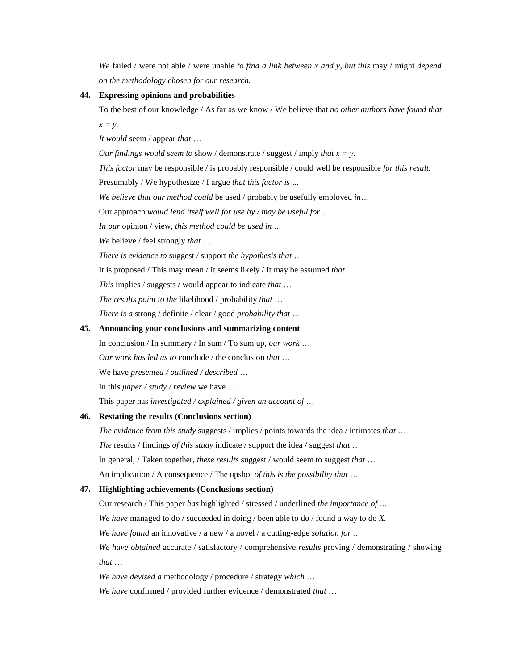*We* failed / were not able / were unable *to find a link between x and y, but this* may / might *depend on the methodology chosen for our research.*

#### **44. Expressing opinions and probabilities**

To the best of our knowledge / As far as we know / We believe that *no other authors have found that*  $x = y$ .

*It would* seem / appear *that* …

*Our findings would seem to show / demonstrate / suggest / imply <i>that*  $x = y$ .

*This factor* may be responsible / is probably responsible / could well be responsible *for this result.*

Presumably / We hypothesize / I argue *that this factor is …*

*We believe that our method could* be used / probably be usefully employed *in*…

Our approach *would lend itself well for use by / may be useful for* …

*In our* opinion / view, *this method could be used in …*

*We* believe / feel strongly *that* …

*There is evidence to* suggest / support *the hypothesis that* …

It is proposed / This may mean / It seems likely / It may be assumed *that* …

*This* implies / suggests / would appear to indicate *that* …

*The results point to the* likelihood / probability *that* …

*There is a* strong / definite / clear / good *probability that …*

#### **45. Announcing your conclusions and summarizing content**

In conclusion / In summary / In sum / To sum up, *our work* …

*Our work has led us to* conclude / the conclusion *that* …

We have *presented / outlined / described* …

In this *paper / study / review* we have …

This paper has *investigated / explained / given an account of* …

#### **46. Restating the results (Conclusions section)**

*The evidence from this study* suggests / implies / points towards the idea / intimates *that* … *The* results / findings *of this study* indicate / support the idea / suggest *that* … In general, / Taken together, *these results* suggest / would seem to suggest *that* … An implication / A consequence / The upshot *of this is the possibility that* …

### **47. Highlighting achievements (Conclusions section)**

Our research / This paper *has* highlighted / stressed / underlined *the importance of …*

*We have* managed to do / succeeded in doing / been able to do / found a way to do *X.*

*We have found* an innovative / a new / a novel / a cutting-edge *solution for …*

*We have obtained* accurate / satisfactory / comprehensive *results* proving / demonstrating / showing *that* …

*We have devised a* methodology / procedure / strategy *which* …

*We have* confirmed / provided further evidence / demonstrated *that* …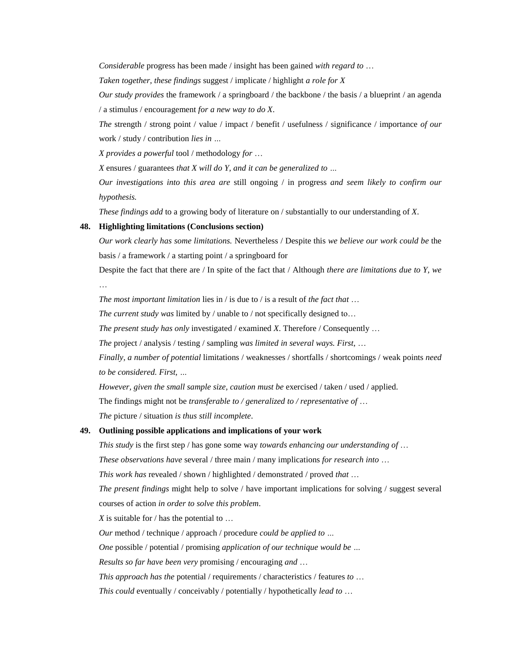*Considerable* progress has been made / insight has been gained *with regard to* …

*Taken together, these findings* suggest / implicate / highlight *a role for X*

*Our study provides* the framework / a springboard / the backbone / the basis / a blueprint / an agenda / a stimulus / encouragement *for a new way to do X*.

*The* strength / strong point / value / impact / benefit / usefulness / significance / importance *of our* work / study / contribution *lies in …*

*X provides a powerful* tool / methodology *for* …

*X* ensures / guarantees *that X will do Y, and it can be generalized to …*

*Our investigations into this area are* still ongoing / in progress *and seem likely to confirm our hypothesis.*

*These findings add* to a growing body of literature on / substantially to our understanding of *X*.

#### **48. Highlighting limitations (Conclusions section)**

*Our work clearly has some limitations.* Nevertheless / Despite this *we believe our work could be* the basis / a framework / a starting point / a springboard for

Despite the fact that there are / In spite of the fact that / Although *there are limitations due to Y, we*

…

*The most important limitation* lies in / is due to / is a result of *the fact that* …

*The current study was* limited by / unable to / not specifically designed to…

*The present study has only* investigated / examined *X*. Therefore / Consequently …

*The* project / analysis / testing / sampling *was limited in several ways. First*, …

*Finally, a number of potential* limitations / weaknesses / shortfalls / shortcomings / weak points *need to be considered. First, …*

*However, given the small sample size, caution must be* exercised / taken / used / applied.

The findings might not be *transferable to / generalized to / representative of* …

*The* picture / situation *is thus still incomplete*.

# **49. Outlining possible applications and implications of your work**

*This study* is the first step / has gone some way *towards enhancing our understanding of* …

*These observations have* several / three main / many implications *for research into* …

*This work has* revealed / shown / highlighted / demonstrated / proved *that* …

*The present findings* might help to solve / have important implications for solving / suggest several courses of action *in order to solve this problem*.

*X* is suitable for / has the potential to …

*Our* method / technique / approach / procedure *could be applied to …*

*One* possible / potential / promising *application of our technique would be …*

*Results so far have been very* promising / encouraging *and* …

*This approach has the* potential / requirements / characteristics / features *to* …

*This could* eventually / conceivably / potentially / hypothetically *lead to* …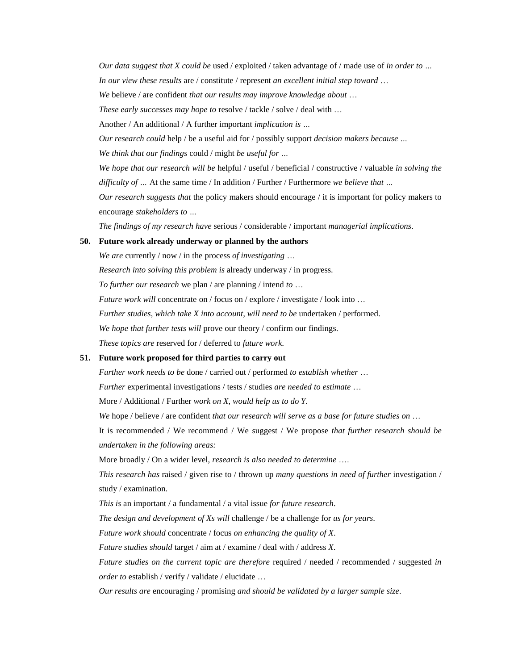*Our data suggest that X could be* used / exploited / taken advantage of / made use of *in order to … In our view these results* are / constitute / represent *an excellent initial step toward* … *We* believe / are confident *that our results may improve knowledge about* … *These early successes may hope to* resolve / tackle / solve / deal with … Another / An additional / A further important *implication is … Our research could* help / be a useful aid for / possibly support *decision makers because … We think that our findings* could / might *be useful for … We hope that our research will be* helpful / useful / beneficial / constructive / valuable *in solving the difficulty of …* At the same time / In addition / Further / Furthermore *we believe that … Our research suggests that* the policy makers should encourage / it is important for policy makers to encourage *stakeholders to …*

*The findings of my research have* serious / considerable / important *managerial implications*.

## **50. Future work already underway or planned by the authors**

*We are* currently / now / in the process *of investigating* …

*Research into solving this problem is* already underway / in progress.

*To further our research* we plan / are planning / intend *to* …

*Future work will* concentrate on / focus on / explore / investigate / look into …

*Further studies, which take X into account, will need to be* undertaken / performed.

*We hope that further tests will* prove our theory / confirm our findings.

*These topics are* reserved for / deferred to *future work*.

# **51. Future work proposed for third parties to carry out**

*Further work needs to be* done / carried out / performed *to establish whether* …

*Further* experimental investigations / tests / studies *are needed to estimate* …

More / Additional / Further *work on X, would help us to do Y*.

*We* hope / believe / are confident *that our research will serve as a base for future studies on* …

It is recommended / We recommend / We suggest / We propose *that further research should be undertaken in the following areas:*

More broadly / On a wider level, *research is also needed to determine* ….

*This research has* raised / given rise to / thrown up *many questions in need of further* investigation / study / examination.

*This is* an important / a fundamental / a vital issue *for future research*.

*The design and development of Xs will* challenge / be a challenge for *us for years*.

*Future work should* concentrate / focus *on enhancing the quality of X*.

*Future studies should* target / aim at / examine / deal with / address *X*.

*Future studies on the current topic are therefore* required / needed / recommended / suggested *in order to* establish / verify / validate / elucidate …

*Our results are* encouraging / promising *and should be validated by a larger sample size*.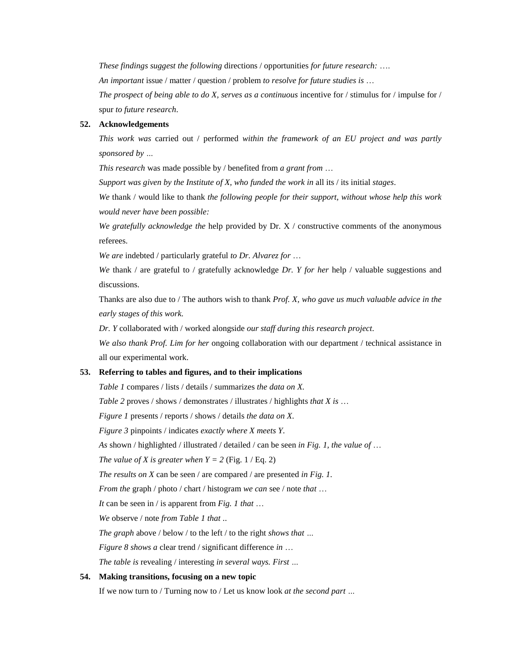*These findings suggest the following* directions / opportunities *for future research:* ….

*An important* issue / matter / question / problem *to resolve for future studies is* …

*The prospect of being able to do X, serves as a continuous* incentive for / stimulus for / impulse for / spur *to future research*.

## **52. Acknowledgements**

*This work was* carried out / performed *within the framework of an EU project and was partly sponsored by …*

*This research* was made possible by / benefited from *a grant from* …

*Support was given by the Institute of X, who funded the work in* all its / its initial *stages*.

*We* thank / would like to thank *the following people for their support, without whose help this work would never have been possible:*

*We gratefully acknowledge the* help provided by Dr. X / constructive comments of the anonymous referees.

*We are* indebted / particularly grateful *to Dr. Alvarez for* …

*We* thank / are grateful to / gratefully acknowledge *Dr. Y for her* help / valuable suggestions and discussions.

Thanks are also due to / The authors wish to thank *Prof. X, who gave us much valuable advice in the early stages of this work.*

*Dr. Y* collaborated with / worked alongside *our staff during this research project*.

*We also thank Prof. Lim for her* ongoing collaboration with our department / technical assistance in all our experimental work.

# **53. Referring to tables and figures, and to their implications**

*Table 1* compares / lists / details / summarizes *the data on X. Table 2* proves / shows / demonstrates / illustrates / highlights *that X is* … *Figure 1* presents / reports / shows / details *the data on X*. *Figure 3* pinpoints / indicates *exactly where X meets Y*. *As* shown / highlighted / illustrated / detailed / can be seen *in Fig. 1, the value of* … *The value of X is greater when*  $Y = 2$  (Fig. 1 / Eq. 2) *The results on X* can be seen / are compared / are presented *in Fig. 1*. *From the* graph / photo / chart / histogram *we can* see / note *that* … *It* can be seen in / is apparent from *Fig. 1 that* … *We* observe / note *from Table 1 that* .. *The graph* above / below / to the left / to the right *shows that … Figure 8 shows a* clear trend / significant difference *in* … *The table is* revealing / interesting *in several ways. First …*

# **54. Making transitions, focusing on a new topic**

If we now turn to / Turning now to / Let us know look *at the second part …*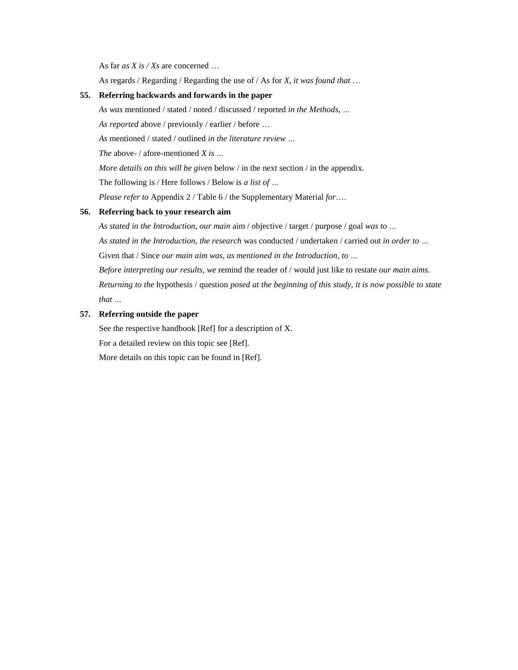As far *as X is / Xs* are concerned …

As regards / Regarding / Regarding the use of / As for *X, it was found that* …

# **55. Referring backwards and forwards in the paper**

*As was* mentioned / stated / noted / discussed / reported *in the Methods, …*

*As reported* above / previously / earlier / before …

*As* mentioned / stated / outlined *in the literature review …*

*The* above- / afore-mentioned *X is …*

*More details on this will be given* below / in the next section / in the appendix.

The following is / Here follows / Below is *a list of …*

*Please refer to* Appendix 2 / Table 6 / the Supplementary Material *for*….

# **56. Referring back to your research aim**

*As stated in the Introduction, our main* aim / objective / target / purpose / goal *was to …*

*As stated in the Introduction, the research* was conducted / undertaken / carried out *in order to …*

Given that / Since *our main aim was, as mentioned in the Introduction, to …*

*Before interpreting our results, we* remind the reader of / would just like to restate *our main aims*.

*Returning to the* hypothesis / question *posed at the beginning of this study, it is now possible to state that …*

# **57. Referring outside the paper**

See the respective handbook [Ref] for a description of X.

For a detailed review on this topic see [Ref].

More details on this topic can be found in [Ref].